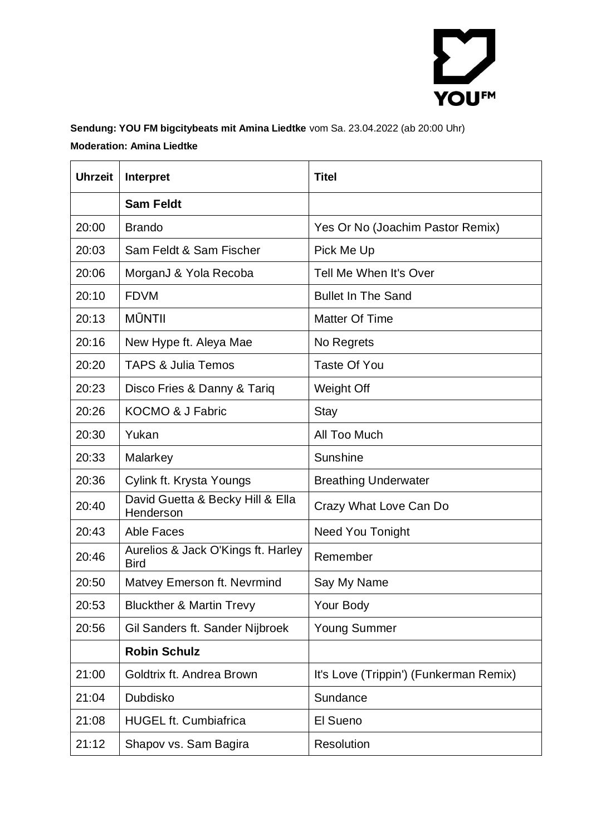

### **Sendung: YOU FM bigcitybeats mit Amina Liedtke** vom Sa. 23.04.2022 (ab 20:00 Uhr) **Moderation: Amina Liedtke**

| <b>Uhrzeit</b> | Interpret                                         | <b>Titel</b>                           |
|----------------|---------------------------------------------------|----------------------------------------|
|                | <b>Sam Feldt</b>                                  |                                        |
| 20:00          | <b>Brando</b>                                     | Yes Or No (Joachim Pastor Remix)       |
| 20:03          | Sam Feldt & Sam Fischer                           | Pick Me Up                             |
| 20:06          | MorganJ & Yola Recoba                             | Tell Me When It's Over                 |
| 20:10          | <b>FDVM</b>                                       | <b>Bullet In The Sand</b>              |
| 20:13          | <b>MŪNTII</b>                                     | <b>Matter Of Time</b>                  |
| 20:16          | New Hype ft. Aleya Mae                            | No Regrets                             |
| 20:20          | <b>TAPS &amp; Julia Temos</b>                     | <b>Taste Of You</b>                    |
| 20:23          | Disco Fries & Danny & Tariq                       | Weight Off                             |
| 20:26          | <b>KOCMO &amp; J Fabric</b>                       | <b>Stay</b>                            |
| 20:30          | Yukan                                             | All Too Much                           |
| 20:33          | Malarkey                                          | <b>Sunshine</b>                        |
| 20:36          | Cylink ft. Krysta Youngs                          | <b>Breathing Underwater</b>            |
| 20:40          | David Guetta & Becky Hill & Ella<br>Henderson     | Crazy What Love Can Do                 |
| 20:43          | <b>Able Faces</b>                                 | <b>Need You Tonight</b>                |
| 20:46          | Aurelios & Jack O'Kings ft. Harley<br><b>Bird</b> | Remember                               |
| 20:50          | Matvey Emerson ft. Nevrmind                       | Say My Name                            |
| 20:53          | <b>Bluckther &amp; Martin Trevy</b>               | Your Body                              |
| 20:56          | Gil Sanders ft. Sander Nijbroek                   | <b>Young Summer</b>                    |
|                | <b>Robin Schulz</b>                               |                                        |
| 21:00          | Goldtrix ft. Andrea Brown                         | It's Love (Trippin') (Funkerman Remix) |
| 21:04          | Dubdisko                                          | Sundance                               |
| 21:08          | <b>HUGEL ft. Cumbiafrica</b>                      | El Sueno                               |
| 21:12          | Shapov vs. Sam Bagira                             | Resolution                             |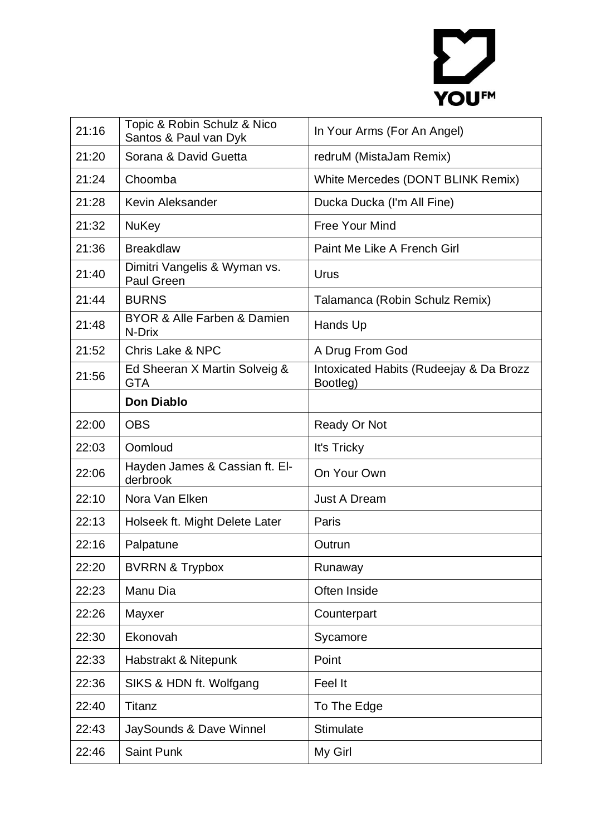# YOUFM

| 21:16 | Topic & Robin Schulz & Nico<br>Santos & Paul van Dyk | In Your Arms (For An Angel)                         |
|-------|------------------------------------------------------|-----------------------------------------------------|
| 21:20 | Sorana & David Guetta                                | redruM (MistaJam Remix)                             |
| 21:24 | Choomba                                              | White Mercedes (DONT BLINK Remix)                   |
| 21:28 | Kevin Aleksander                                     | Ducka Ducka (I'm All Fine)                          |
| 21:32 | <b>NuKey</b>                                         | Free Your Mind                                      |
| 21:36 | <b>Breakdlaw</b>                                     | Paint Me Like A French Girl                         |
| 21:40 | Dimitri Vangelis & Wyman vs.<br>Paul Green           | Urus                                                |
| 21:44 | <b>BURNS</b>                                         | Talamanca (Robin Schulz Remix)                      |
| 21:48 | <b>BYOR &amp; Alle Farben &amp; Damien</b><br>N-Drix | Hands Up                                            |
| 21:52 | <b>Chris Lake &amp; NPC</b>                          | A Drug From God                                     |
| 21:56 | Ed Sheeran X Martin Solveig &<br><b>GTA</b>          | Intoxicated Habits (Rudeejay & Da Brozz<br>Bootleg) |
|       | <b>Don Diablo</b>                                    |                                                     |
| 22:00 | <b>OBS</b>                                           | Ready Or Not                                        |
|       |                                                      |                                                     |
| 22:03 | Oomloud                                              | It's Tricky                                         |
| 22:06 | Hayden James & Cassian ft. El-<br>derbrook           | On Your Own                                         |
| 22:10 | Nora Van Elken                                       | <b>Just A Dream</b>                                 |
| 22:13 | Holseek ft. Might Delete Later                       | Paris                                               |
| 22:16 | Palpatune                                            | Outrun                                              |
| 22:20 | <b>BVRRN &amp; Trypbox</b>                           | Runaway                                             |
| 22:23 | Manu Dia                                             | Often Inside                                        |
| 22:26 | Mayxer                                               | Counterpart                                         |
| 22:30 | Ekonovah                                             | Sycamore                                            |
| 22:33 | Habstrakt & Nitepunk                                 | Point                                               |
| 22:36 | SIKS & HDN ft. Wolfgang                              | Feel It                                             |
| 22:40 | Titanz                                               | To The Edge                                         |
| 22:43 | JaySounds & Dave Winnel                              | Stimulate                                           |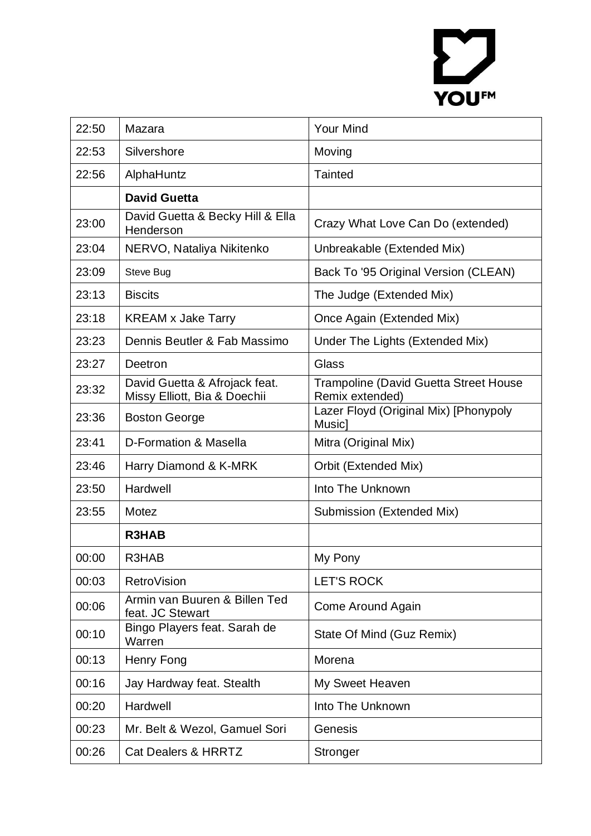# YOUFM

| 22:50 | Mazara                                                        | <b>Your Mind</b>                                                |
|-------|---------------------------------------------------------------|-----------------------------------------------------------------|
| 22:53 | Silvershore                                                   | Moving                                                          |
| 22:56 | AlphaHuntz                                                    | <b>Tainted</b>                                                  |
|       | <b>David Guetta</b>                                           |                                                                 |
| 23:00 | David Guetta & Becky Hill & Ella<br>Henderson                 | Crazy What Love Can Do (extended)                               |
| 23:04 | NERVO, Nataliya Nikitenko                                     | Unbreakable (Extended Mix)                                      |
| 23:09 | Steve Bug                                                     | Back To '95 Original Version (CLEAN)                            |
| 23:13 | <b>Biscits</b>                                                | The Judge (Extended Mix)                                        |
| 23:18 | <b>KREAM x Jake Tarry</b>                                     | Once Again (Extended Mix)                                       |
| 23:23 | Dennis Beutler & Fab Massimo                                  | Under The Lights (Extended Mix)                                 |
| 23:27 | Deetron                                                       | Glass                                                           |
| 23:32 | David Guetta & Afrojack feat.<br>Missy Elliott, Bia & Doechii | <b>Trampoline (David Guetta Street House</b><br>Remix extended) |
| 23:36 | <b>Boston George</b>                                          | Lazer Floyd (Original Mix) [Phonypoly<br>Music]                 |
| 23:41 | D-Formation & Masella                                         | Mitra (Original Mix)                                            |
| 23:46 | Harry Diamond & K-MRK                                         | Orbit (Extended Mix)                                            |
| 23:50 | Hardwell                                                      | Into The Unknown                                                |
| 23:55 | Motez                                                         | Submission (Extended Mix)                                       |
|       | <b>R3HAB</b>                                                  |                                                                 |
| 00:00 | R3HAB                                                         | My Pony                                                         |
| 00:03 | RetroVision                                                   | <b>LET'S ROCK</b>                                               |
| 00:06 | Armin van Buuren & Billen Ted<br>feat. JC Stewart             | Come Around Again                                               |
| 00:10 | Bingo Players feat. Sarah de<br>Warren                        | State Of Mind (Guz Remix)                                       |
| 00:13 | Henry Fong                                                    | Morena                                                          |
| 00:16 | Jay Hardway feat. Stealth                                     | My Sweet Heaven                                                 |
| 00:20 | Hardwell                                                      | Into The Unknown                                                |
| 00:23 | Mr. Belt & Wezol, Gamuel Sori                                 | Genesis                                                         |
| 00:26 | <b>Cat Dealers &amp; HRRTZ</b>                                | Stronger                                                        |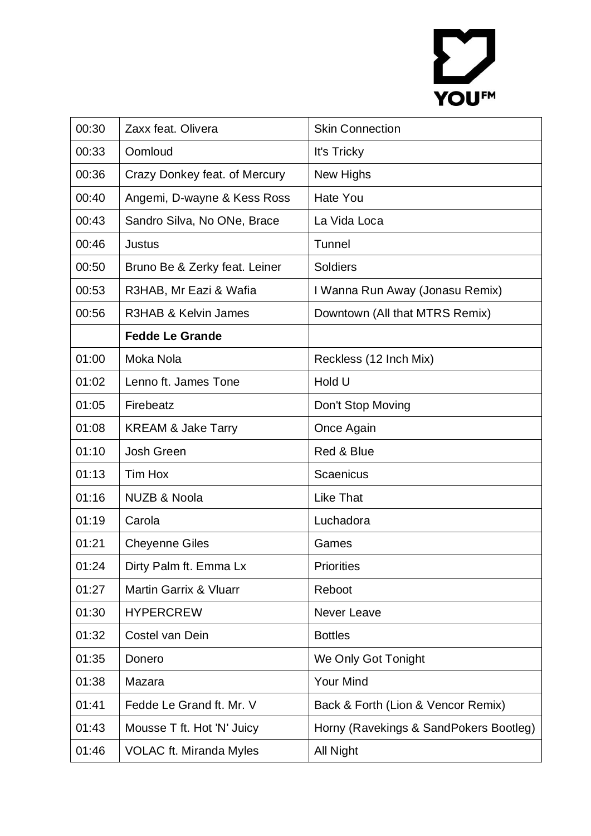# YOU<sup>FM</sup>

| 00:30 | Zaxx feat. Olivera                | <b>Skin Connection</b>                 |
|-------|-----------------------------------|----------------------------------------|
| 00:33 | Oomloud                           | It's Tricky                            |
| 00:36 | Crazy Donkey feat. of Mercury     | New Highs                              |
| 00:40 | Angemi, D-wayne & Kess Ross       | <b>Hate You</b>                        |
| 00:43 | Sandro Silva, No ONe, Brace       | La Vida Loca                           |
| 00:46 | <b>Justus</b>                     | Tunnel                                 |
| 00:50 | Bruno Be & Zerky feat. Leiner     | <b>Soldiers</b>                        |
| 00:53 | R3HAB, Mr Eazi & Wafia            | I Wanna Run Away (Jonasu Remix)        |
| 00:56 | R3HAB & Kelvin James              | Downtown (All that MTRS Remix)         |
|       | <b>Fedde Le Grande</b>            |                                        |
| 01:00 | Moka Nola                         | Reckless (12 Inch Mix)                 |
| 01:02 | Lenno ft. James Tone              | Hold U                                 |
| 01:05 | Firebeatz                         | Don't Stop Moving                      |
| 01:08 | <b>KREAM &amp; Jake Tarry</b>     | Once Again                             |
| 01:10 | <b>Josh Green</b>                 | Red & Blue                             |
| 01:13 | Tim Hox                           | Scaenicus                              |
| 01:16 | <b>NUZB &amp; Noola</b>           | <b>Like That</b>                       |
| 01:19 | Carola                            | Luchadora                              |
| 01:21 | <b>Cheyenne Giles</b>             | Games                                  |
| 01:24 | Dirty Palm ft. Emma Lx            | <b>Priorities</b>                      |
| 01:27 | <b>Martin Garrix &amp; Vluarr</b> | Reboot                                 |
| 01:30 | <b>HYPERCREW</b>                  | Never Leave                            |
| 01:32 | Costel van Dein                   | <b>Bottles</b>                         |
| 01:35 | Donero                            | We Only Got Tonight                    |
| 01:38 | Mazara                            | Your Mind                              |
|       |                                   |                                        |
| 01:41 | Fedde Le Grand ft. Mr. V          | Back & Forth (Lion & Vencor Remix)     |
| 01:43 | Mousse T ft. Hot 'N' Juicy        | Horny (Ravekings & SandPokers Bootleg) |